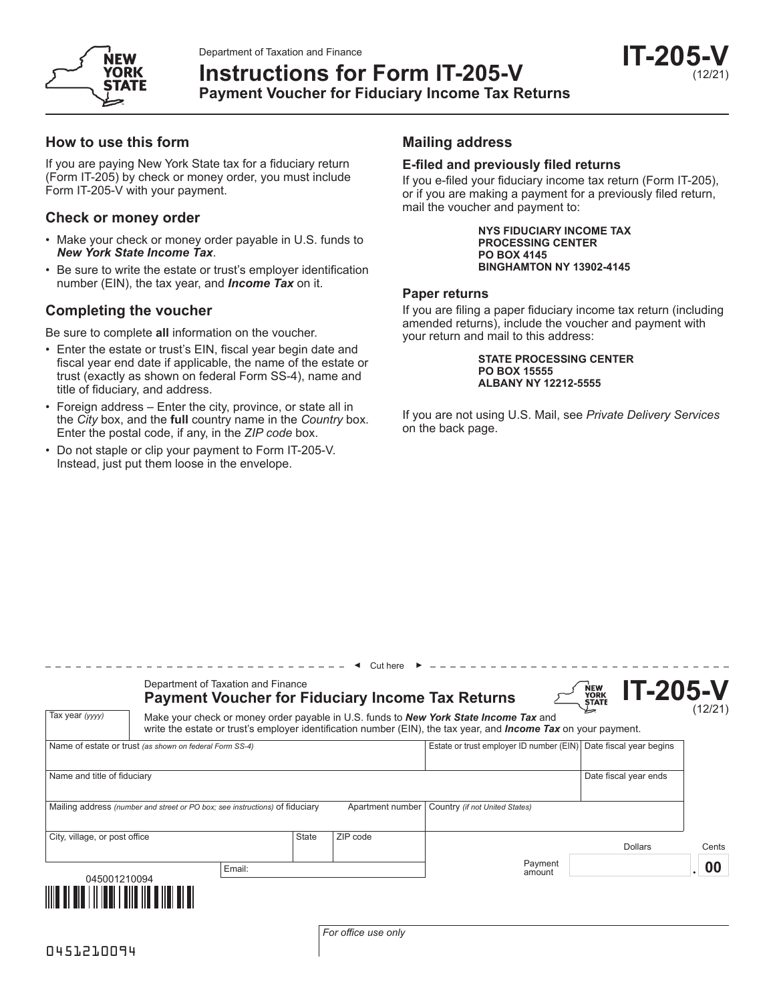Department of Taxation and Finance



# **Instructions for Form IT-205-V Payment Voucher for Fiduciary Income Tax Returns**

### **How to use this form**

If you are paying New York State tax for a fiduciary return (Form IT-205) by check or money order, you must include Form IT-205-V with your payment.

### **Check or money order**

- Make your check or money order payable in U.S. funds to *New York State Income Tax*.
- Be sure to write the estate or trust's employer identification number (EIN), the tax year, and *Income Tax* on it.

## **Completing the voucher**

Be sure to complete **all** information on the voucher.

- Enter the estate or trust's EIN, fiscal year begin date and fiscal year end date if applicable, the name of the estate or trust (exactly as shown on federal Form SS-4), name and title of fiduciary, and address.
- Foreign address Enter the city, province, or state all in the *City* box, and the **full** country name in the *Country* box. Enter the postal code, if any, in the *ZIP code* box.

\_\_\_\_\_\_\_\_\_\_\_\_\_\_\_\_\_\_\_\_\_

• Do not staple or clip your payment to Form IT-205-V. Instead, just put them loose in the envelope.

## **Mailing address**

#### **E-filed and previously filed returns**

If you e-filed your fiduciary income tax return (Form IT-205), or if you are making a payment for a previously filed return, mail the voucher and payment to:

> **NYS FIDUCIARY INCOME TAX PROCESSING CENTER PO BOX 4145 BINGHAMTON NY 13902-4145**

### **Paper returns**

If you are filing a paper fiduciary income tax return (including amended returns), include the voucher and payment with your return and mail to this address:

> **STATE PROCESSING CENTER PO BOX 15555 ALBANY NY 12212-5555**

If you are not using U.S. Mail, see *Private Delivery Services* on the back page.

|                                                                              | Department of Taxation and Finance                                                                                                                                                                                                |        |       | <b>Payment Voucher for Fiduciary Income Tax Returns</b> |                                                                  |                   | NEW<br>YORK<br>STATE | <b>IT-205-V</b> |       |
|------------------------------------------------------------------------------|-----------------------------------------------------------------------------------------------------------------------------------------------------------------------------------------------------------------------------------|--------|-------|---------------------------------------------------------|------------------------------------------------------------------|-------------------|----------------------|-----------------|-------|
| Tax year (yyyy)                                                              | (12/21)<br>Make your check or money order payable in U.S. funds to <b>New York State Income Tax</b> and<br>write the estate or trust's employer identification number (EIN), the tax year, and <i>Income Tax</i> on your payment. |        |       |                                                         |                                                                  |                   |                      |                 |       |
| Name of estate or trust (as shown on federal Form SS-4)                      |                                                                                                                                                                                                                                   |        |       |                                                         | Estate or trust employer ID number (EIN) Date fiscal year begins |                   |                      |                 |       |
| Name and title of fiduciary                                                  |                                                                                                                                                                                                                                   |        |       |                                                         | Date fiscal year ends                                            |                   |                      |                 |       |
| Mailing address (number and street or PO box; see instructions) of fiduciary |                                                                                                                                                                                                                                   |        |       | Apartment number                                        | Country (if not United States)                                   |                   |                      |                 |       |
| City, village, or post office                                                |                                                                                                                                                                                                                                   |        | State | ZIP code                                                |                                                                  |                   |                      | <b>Dollars</b>  | Cents |
| 045001210094                                                                 |                                                                                                                                                                                                                                   | Email: |       |                                                         |                                                                  | Payment<br>amount |                      |                 | 00    |
| <u>MATIN ALAM MATIN ANG KAN</u>                                              |                                                                                                                                                                                                                                   |        |       |                                                         |                                                                  |                   |                      |                 |       |

Cut here ◄ ►